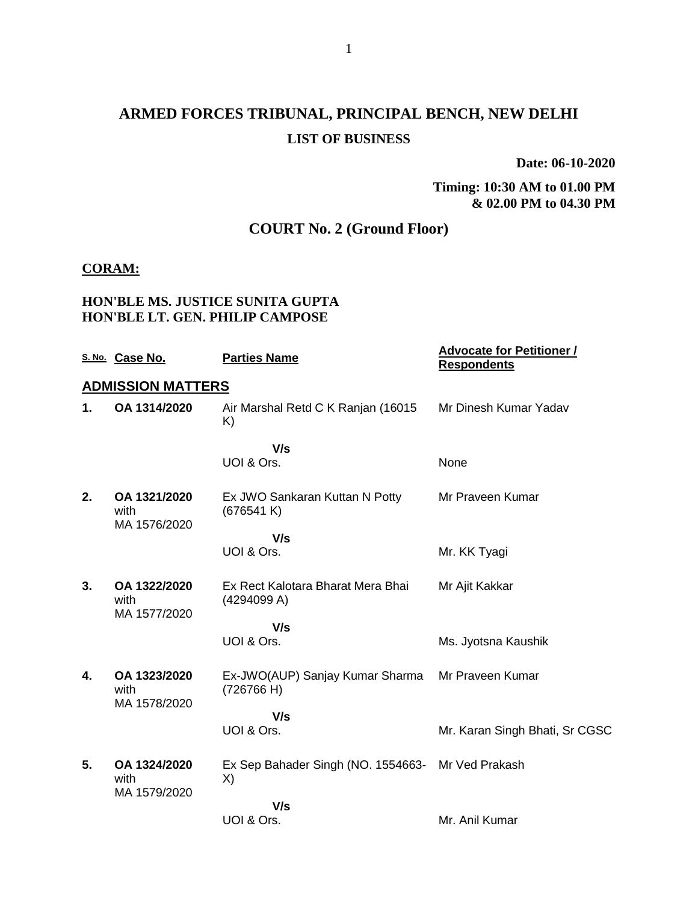## **ARMED FORCES TRIBUNAL, PRINCIPAL BENCH, NEW DELHI LIST OF BUSINESS**

**Date: 06-10-2020**

**Timing: 10:30 AM to 01.00 PM & 02.00 PM to 04.30 PM**

## **COURT No. 2 (Ground Floor)**

#### **CORAM:**

#### **HON'BLE MS. JUSTICE SUNITA GUPTA HON'BLE LT. GEN. PHILIP CAMPOSE**

|    | S. No. Case No.                      | <b>Parties Name</b>                                     | <b>Advocate for Petitioner /</b><br><b>Respondents</b> |
|----|--------------------------------------|---------------------------------------------------------|--------------------------------------------------------|
|    | <b>ADMISSION MATTERS</b>             |                                                         |                                                        |
| 1. | OA 1314/2020                         | Air Marshal Retd C K Ranjan (16015<br>K)                | Mr Dinesh Kumar Yadav                                  |
|    |                                      | V/s                                                     |                                                        |
|    |                                      | UOI & Ors.                                              | None                                                   |
| 2. | OA 1321/2020<br>with<br>MA 1576/2020 | Ex JWO Sankaran Kuttan N Potty<br>(676541 K)            | Mr Praveen Kumar                                       |
|    |                                      | V/s                                                     |                                                        |
|    |                                      | UOI & Ors.                                              | Mr. KK Tyagi                                           |
| 3. | OA 1322/2020<br>with<br>MA 1577/2020 | Ex Rect Kalotara Bharat Mera Bhai<br>(4294099 A)        | Mr Ajit Kakkar                                         |
|    |                                      | V/s                                                     |                                                        |
|    |                                      | UOI & Ors.                                              | Ms. Jyotsna Kaushik                                    |
| 4. | OA 1323/2020<br>with                 | Ex-JWO(AUP) Sanjay Kumar Sharma<br>(726766 H)           | Mr Praveen Kumar                                       |
|    | MA 1578/2020                         | V/s                                                     |                                                        |
|    |                                      | UOI & Ors.                                              | Mr. Karan Singh Bhati, Sr CGSC                         |
| 5. | OA 1324/2020<br>with<br>MA 1579/2020 | Ex Sep Bahader Singh (NO. 1554663- Mr Ved Prakash<br>X) |                                                        |
|    |                                      | V/s                                                     |                                                        |
|    |                                      | UOI & Ors.                                              | Mr. Anil Kumar                                         |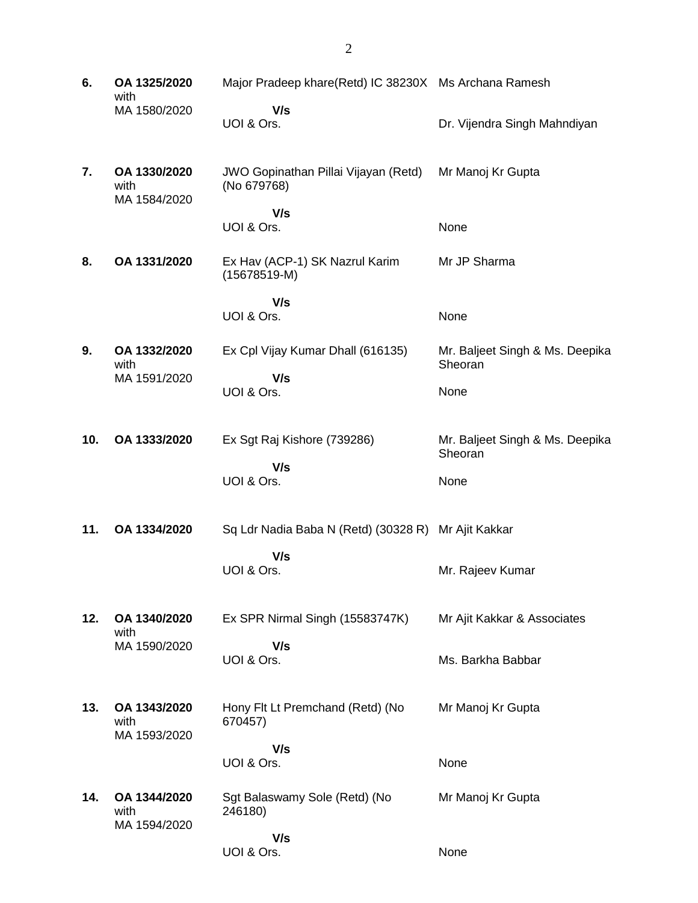**6. OA 1325/2020** with MA 1580/2020 Major Pradeep khare(Retd) IC 38230X Ms Archana Ramesh  **V/s** UOI & Ors. Dr. Vijendra Singh Mahndiyan **7. OA 1330/2020** with MA 1584/2020 JWO Gopinathan Pillai Vijayan (Retd) (No 679768)  **V/s** UOI & Ors. Mr Manoj Kr Gupta None **8. OA 1331/2020** Ex Hav (ACP-1) SK Nazrul Karim (15678519-M)  **V/s** UOI & Ors. Mr JP Sharma None **9. OA 1332/2020** with MA 1591/2020 Ex Cpl Vijay Kumar Dhall (616135)  **V/s** UOI & Ors. Mr. Baljeet Singh & Ms. Deepika **Sheoran** None **10. OA 1333/2020** Ex Sgt Raj Kishore (739286)  **V/s** UOI & Ors. Mr. Baljeet Singh & Ms. Deepika **Sheoran** None **11. OA 1334/2020** Sq Ldr Nadia Baba N (Retd) (30328 R) Mr Ajit Kakkar  **V/s** UOI & Ors. Mr. Rajeev Kumar **12. OA 1340/2020** with MA 1590/2020 Ex SPR Nirmal Singh (15583747K)  **V/s** UOI & Ors. Mr Ajit Kakkar & Associates Ms. Barkha Babbar **13. OA 1343/2020** with MA 1593/2020 Hony Flt Lt Premchand (Retd) (No 670457)  **V/s** UOI & Ors. Mr Manoj Kr Gupta None **14. OA 1344/2020** with MA 1594/2020 Sgt Balaswamy Sole (Retd) (No 246180)  **V/s** UOI & Ors. Mr Manoj Kr Gupta None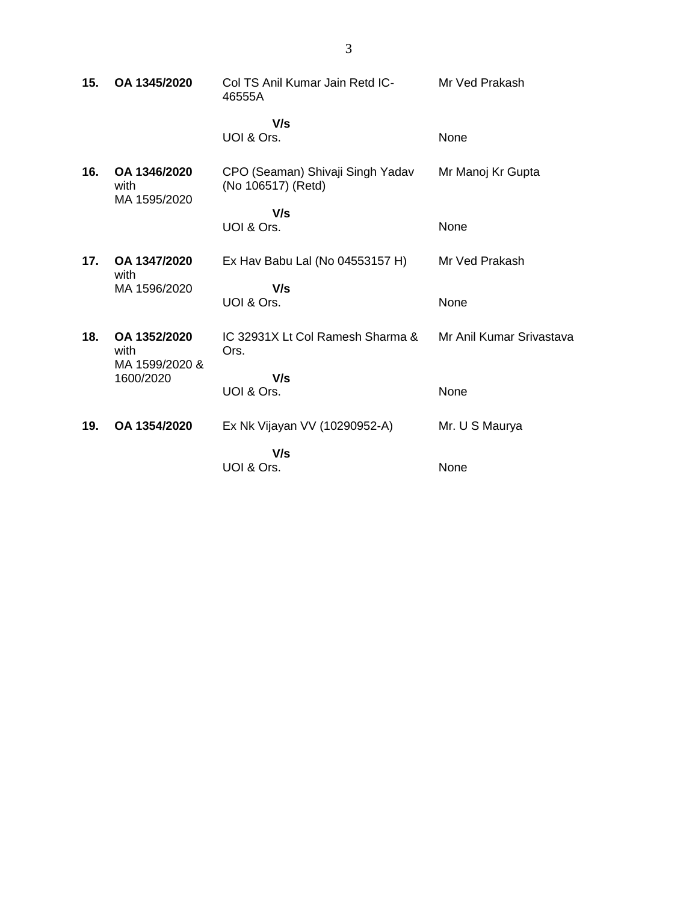| 15. | OA 1345/2020                         | Col TS Anil Kumar Jain Retd IC-<br>46555A              | Mr Ved Prakash           |
|-----|--------------------------------------|--------------------------------------------------------|--------------------------|
|     |                                      | V/s<br>UOI & Ors.                                      | None                     |
| 16. | OA 1346/2020<br>with<br>MA 1595/2020 | CPO (Seaman) Shivaji Singh Yadav<br>(No 106517) (Retd) | Mr Manoj Kr Gupta        |
|     |                                      | V/s                                                    |                          |
|     |                                      | UOI & Ors.                                             | None                     |
| 17. | OA 1347/2020<br>with                 | Ex Hav Babu Lal (No 04553157 H)                        | Mr Ved Prakash           |
|     | MA 1596/2020                         | V/s                                                    |                          |
|     |                                      | UOI & Ors.                                             | None                     |
| 18. | OA 1352/2020<br>with                 | IC 32931X Lt Col Ramesh Sharma &<br>Ors.               | Mr Anil Kumar Srivastava |
|     | MA 1599/2020 &<br>1600/2020          | V/s                                                    |                          |
|     |                                      | UOI & Ors.                                             | None                     |
| 19. | OA 1354/2020                         | Ex Nk Vijayan VV (10290952-A)                          | Mr. U S Maurya           |
|     |                                      | V/s                                                    |                          |
|     |                                      | UOI & Ors.                                             | None                     |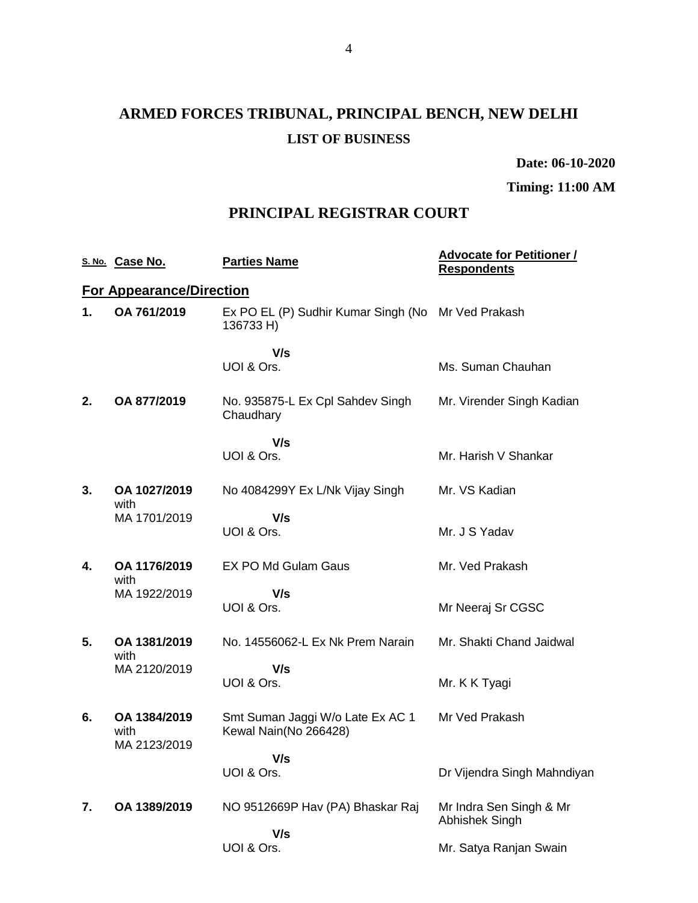# **ARMED FORCES TRIBUNAL, PRINCIPAL BENCH, NEW DELHI LIST OF BUSINESS**

**Date: 06-10-2020**

**Timing: 11:00 AM**

### **PRINCIPAL REGISTRAR COURT**

|    | S. No. Case No.                      | <b>Parties Name</b>                                       | <b>Advocate for Petitioner /</b><br><b>Respondents</b> |
|----|--------------------------------------|-----------------------------------------------------------|--------------------------------------------------------|
|    | <b>For Appearance/Direction</b>      |                                                           |                                                        |
| 1. | OA 761/2019                          | Ex PO EL (P) Sudhir Kumar Singh (No<br>136733 H)          | Mr Ved Prakash                                         |
|    |                                      | V/s<br>UOI & Ors.                                         | Ms. Suman Chauhan                                      |
| 2. | OA 877/2019                          | No. 935875-L Ex Cpl Sahdev Singh<br>Chaudhary             | Mr. Virender Singh Kadian                              |
|    |                                      | V/s                                                       |                                                        |
|    |                                      | UOI & Ors.                                                | Mr. Harish V Shankar                                   |
| 3. | OA 1027/2019<br>with                 | No 4084299Y Ex L/Nk Vijay Singh                           | Mr. VS Kadian                                          |
|    | MA 1701/2019                         | V/s<br>UOI & Ors.                                         | Mr. J S Yadav                                          |
| 4. | OA 1176/2019<br>with                 | <b>EX PO Md Gulam Gaus</b>                                | Mr. Ved Prakash                                        |
|    | MA 1922/2019                         | V/s                                                       |                                                        |
|    |                                      | UOI & Ors.                                                | Mr Neeraj Sr CGSC                                      |
| 5. | OA 1381/2019<br>with                 | No. 14556062-L Ex Nk Prem Narain                          | Mr. Shakti Chand Jaidwal                               |
|    | MA 2120/2019                         | V/s                                                       |                                                        |
|    |                                      | UOI & Ors.                                                | Mr. K K Tyagi                                          |
| 6. | OA 1384/2019<br>with<br>MA 2123/2019 | Smt Suman Jaggi W/o Late Ex AC 1<br>Kewal Nain(No 266428) | Mr Ved Prakash                                         |
|    |                                      | V/s                                                       |                                                        |
|    |                                      | UOI & Ors.                                                | Dr Vijendra Singh Mahndiyan                            |
| 7. | OA 1389/2019                         | NO 9512669P Hav (PA) Bhaskar Raj                          | Mr Indra Sen Singh & Mr<br>Abhishek Singh              |
|    |                                      | V/s                                                       |                                                        |
|    |                                      | UOI & Ors.                                                | Mr. Satya Ranjan Swain                                 |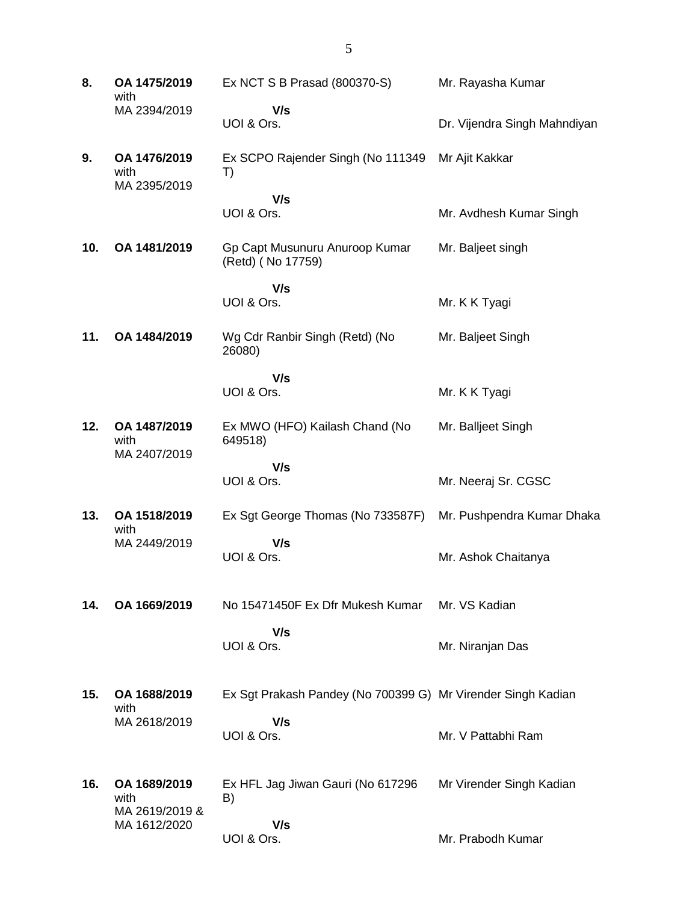**8. OA 1475/2019** with MA 2394/2019 Ex NCT S B Prasad (800370-S)  **V/s** UOI & Ors. Mr. Rayasha Kumar Dr. Vijendra Singh Mahndiyan **9. OA 1476/2019** with MA 2395/2019 Ex SCPO Rajender Singh (No 111349 T)  **V/s** UOI & Ors. Mr Ajit Kakkar Mr. Avdhesh Kumar Singh **10. OA 1481/2019** Gp Capt Musunuru Anuroop Kumar (Retd) ( No 17759)  **V/s** UOI & Ors. Mr. Baljeet singh Mr. K K Tyagi **11. OA 1484/2019** Wg Cdr Ranbir Singh (Retd) (No 26080)  **V/s** UOI & Ors. Mr. Baljeet Singh Mr. K K Tyagi **12. OA 1487/2019** with MA 2407/2019 Ex MWO (HFO) Kailash Chand (No 649518)  **V/s** UOI & Ors. Mr. Balljeet Singh Mr. Neeraj Sr. CGSC **13. OA 1518/2019** with MA 2449/2019 Ex Sgt George Thomas (No 733587F)  **V/s** UOI & Ors. Mr. Pushpendra Kumar Dhaka Mr. Ashok Chaitanya **14. OA 1669/2019** No 15471450F Ex Dfr Mukesh Kumar  **V/s** UOI & Ors. Mr. VS Kadian Mr. Niranjan Das **15. OA 1688/2019** with MA 2618/2019 Ex Sgt Prakash Pandey (No 700399 G) Mr Virender Singh Kadian  **V/s** UOI & Ors. Mr. V Pattabhi Ram **16. OA 1689/2019** with MA 2619/2019 & MA 1612/2020 Ex HFL Jag Jiwan Gauri (No 617296 B)  **V/s** UOI & Ors. Mr Virender Singh Kadian Mr. Prabodh Kumar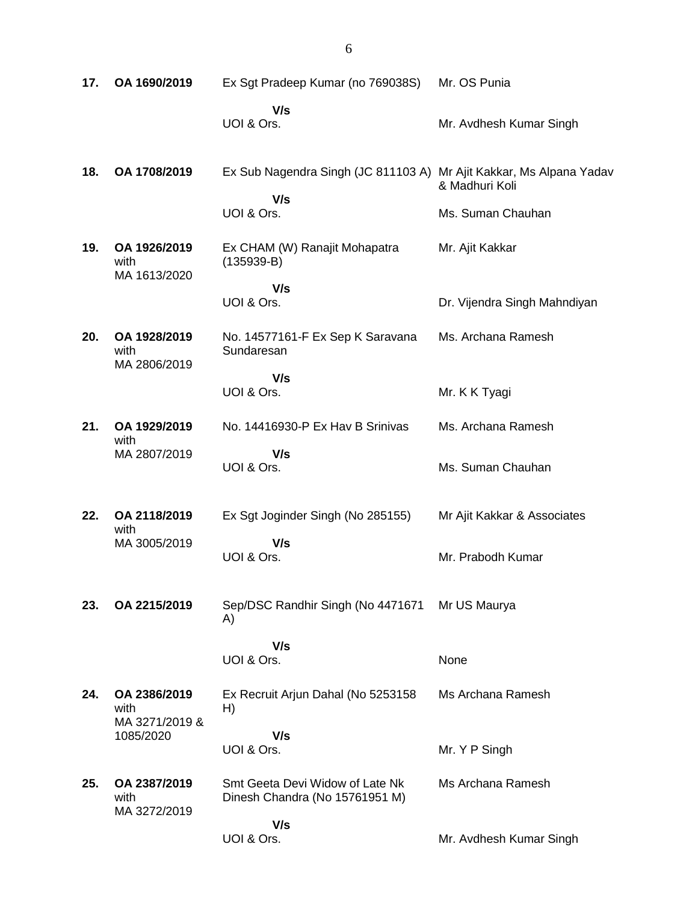| 17. | OA 1690/2019                           | Ex Sgt Pradeep Kumar (no 769038S)                                          | Mr. OS Punia                 |
|-----|----------------------------------------|----------------------------------------------------------------------------|------------------------------|
|     |                                        | V/s<br>UOI & Ors.                                                          | Mr. Avdhesh Kumar Singh      |
| 18. | OA 1708/2019                           | Ex Sub Nagendra Singh (JC 811103 A) Mr Ajit Kakkar, Ms Alpana Yadav<br>V/s | & Madhuri Koli               |
|     |                                        | UOI & Ors.                                                                 | Ms. Suman Chauhan            |
| 19. | OA 1926/2019<br>with<br>MA 1613/2020   | Ex CHAM (W) Ranajit Mohapatra<br>$(135939-B)$                              | Mr. Ajit Kakkar              |
|     |                                        | V/s<br>UOI & Ors.                                                          | Dr. Vijendra Singh Mahndiyan |
| 20. | OA 1928/2019<br>with<br>MA 2806/2019   | No. 14577161-F Ex Sep K Saravana<br>Sundaresan                             | Ms. Archana Ramesh           |
|     |                                        | V/s<br>UOI & Ors.                                                          | Mr. K K Tyagi                |
| 21. | OA 1929/2019<br>with                   | No. 14416930-P Ex Hav B Srinivas                                           | Ms. Archana Ramesh           |
|     | MA 2807/2019                           | V/s<br>UOI & Ors.                                                          | Ms. Suman Chauhan            |
| 22. | OA 2118/2019<br>with                   | Ex Sgt Joginder Singh (No 285155)                                          | Mr Ajit Kakkar & Associates  |
|     | MA 3005/2019                           | V/s<br>UOI & Ors.                                                          | Mr. Prabodh Kumar            |
| 23. | OA 2215/2019                           | Sep/DSC Randhir Singh (No 4471671<br>A)                                    | Mr US Maurya                 |
|     |                                        | V/s<br>UOI & Ors.                                                          | None                         |
| 24. | OA 2386/2019<br>with<br>MA 3271/2019 & | Ex Recruit Arjun Dahal (No 5253158<br>H)                                   | Ms Archana Ramesh            |
|     | 1085/2020                              | V/s<br>UOI & Ors.                                                          | Mr. Y P Singh                |
| 25. | OA 2387/2019<br>with<br>MA 3272/2019   | Smt Geeta Devi Widow of Late Nk<br>Dinesh Chandra (No 15761951 M)          | Ms Archana Ramesh            |
|     |                                        | V/s<br>UOI & Ors.                                                          | Mr. Avdhesh Kumar Singh      |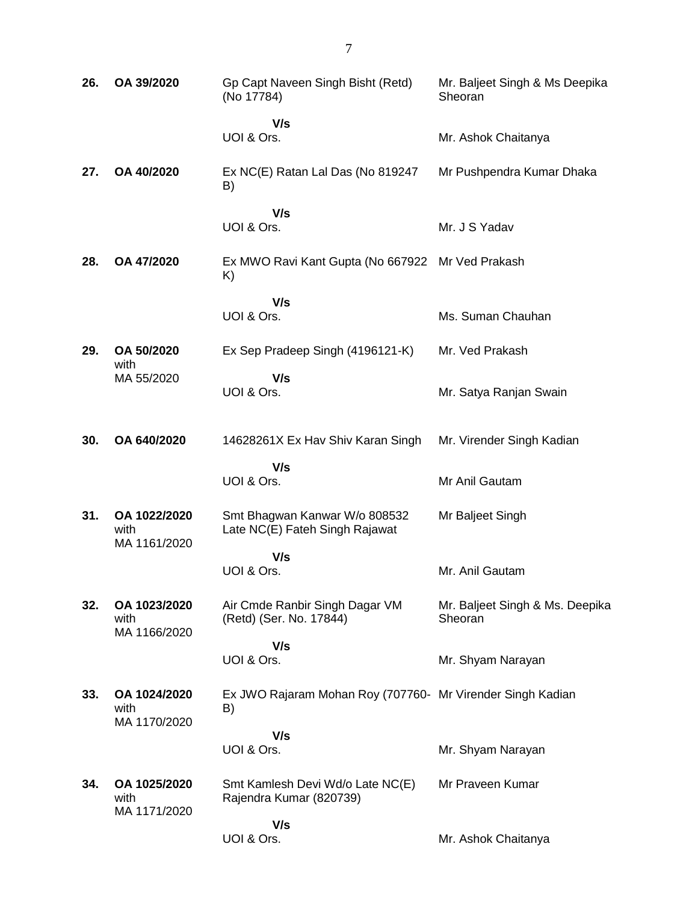| 26. | OA 39/2020                           | Gp Capt Naveen Singh Bisht (Retd)<br>(No 17784)                  | Mr. Baljeet Singh & Ms Deepika<br>Sheoran  |
|-----|--------------------------------------|------------------------------------------------------------------|--------------------------------------------|
|     |                                      | V/s<br>UOI & Ors.                                                | Mr. Ashok Chaitanya                        |
| 27. | OA 40/2020                           | Ex NC(E) Ratan Lal Das (No 819247<br>B)                          | Mr Pushpendra Kumar Dhaka                  |
|     |                                      | V/s<br>UOI & Ors.                                                | Mr. J S Yadav                              |
| 28. | OA 47/2020                           | Ex MWO Ravi Kant Gupta (No 667922<br>K)                          | Mr Ved Prakash                             |
|     |                                      | V/s<br>UOI & Ors.                                                | Ms. Suman Chauhan                          |
| 29. | OA 50/2020                           | Ex Sep Pradeep Singh (4196121-K)                                 | Mr. Ved Prakash                            |
|     | with<br>MA 55/2020                   | V/s<br>UOI & Ors.                                                | Mr. Satya Ranjan Swain                     |
| 30. | OA 640/2020                          | 14628261X Ex Hav Shiv Karan Singh                                | Mr. Virender Singh Kadian                  |
|     |                                      | V/s<br>UOI & Ors.                                                | Mr Anil Gautam                             |
| 31. | OA 1022/2020<br>with<br>MA 1161/2020 | Smt Bhagwan Kanwar W/o 808532<br>Late NC(E) Fateh Singh Rajawat  | Mr Baljeet Singh                           |
|     |                                      | V/s<br>UOI & Ors.                                                | Mr. Anil Gautam                            |
| 32. | OA 1023/2020<br>with<br>MA 1166/2020 | Air Cmde Ranbir Singh Dagar VM<br>(Retd) (Ser. No. 17844)        | Mr. Baljeet Singh & Ms. Deepika<br>Sheoran |
|     |                                      | V/s<br>UOI & Ors.                                                | Mr. Shyam Narayan                          |
|     |                                      |                                                                  |                                            |
| 33. | OA 1024/2020<br>with<br>MA 1170/2020 | Ex JWO Rajaram Mohan Roy (707760- Mr Virender Singh Kadian<br>B) |                                            |
|     |                                      | V/s<br>UOI & Ors.                                                | Mr. Shyam Narayan                          |
|     |                                      |                                                                  |                                            |
| 34. | OA 1025/2020<br>with<br>MA 1171/2020 | Smt Kamlesh Devi Wd/o Late NC(E)<br>Rajendra Kumar (820739)      | Mr Praveen Kumar                           |
|     |                                      | V/s<br>UOI & Ors.                                                | Mr. Ashok Chaitanya                        |